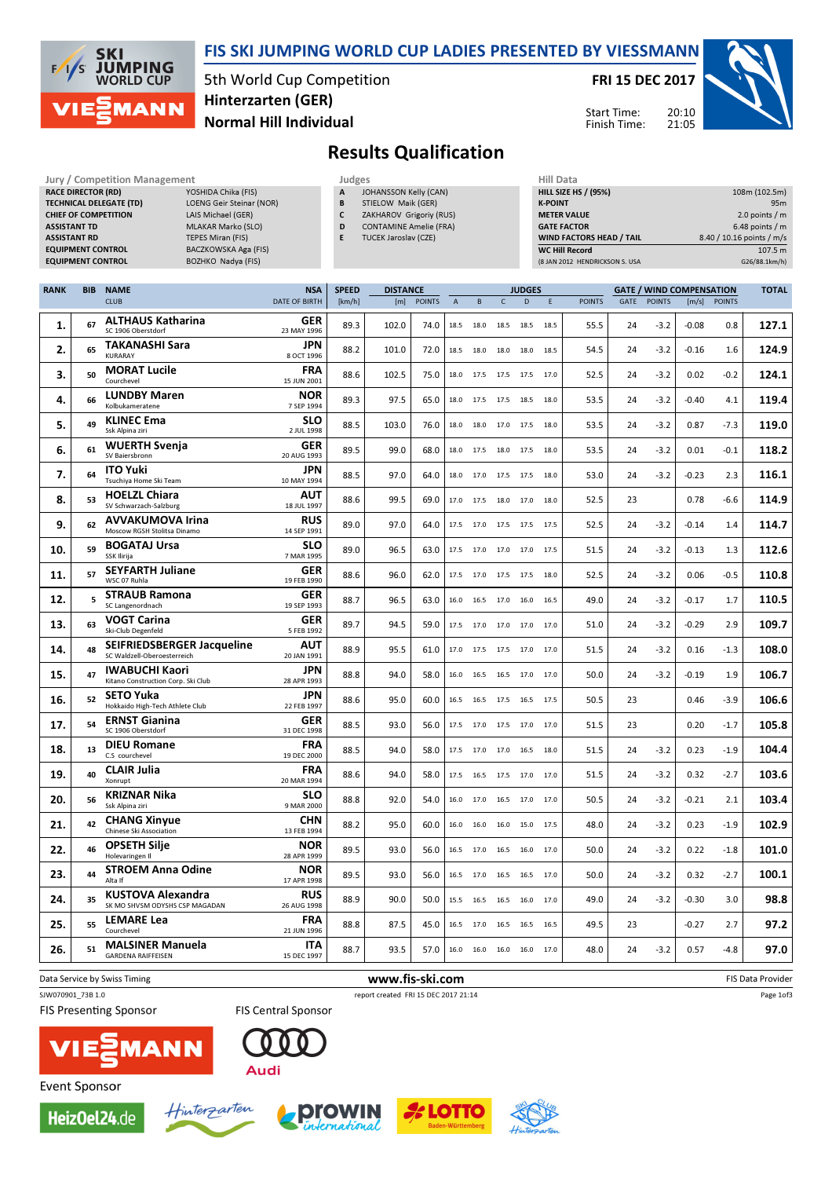

## FIS SKI JUMPING WORLD CUP LADIES PRESENTED BY VIESSMANN

5th World Cup Competition Normal Hill Individual Hinterzarten (GER)

FRI 15 DEC 2017

Start Time: Finish Time:



## Results Qualification

| Jury / Competition Management  |                             | Judges |                               | <b>Hill Dat</b>  |
|--------------------------------|-----------------------------|--------|-------------------------------|------------------|
| <b>RACE DIRECTOR (RD)</b>      | YOSHIDA Chika (FIS)         | A      | JOHANSSON Kelly (CAN)         | <b>HILL SIZE</b> |
| <b>TECHNICAL DELEGATE (TD)</b> | LOENG Geir Steinar (NOR)    | в      | STIELOW Maik (GER)            | <b>K-POINT</b>   |
| <b>CHIEF OF COMPETITION</b>    | LAIS Michael (GER)          |        | ZAKHAROV Grigoriy (RUS)       | <b>METER VA</b>  |
| <b>ASSISTANT TD</b>            | <b>MLAKAR Marko (SLO)</b>   | D      | <b>CONTAMINE Amelie (FRA)</b> | <b>GATE FAC</b>  |
| <b>ASSISTANT RD</b>            | <b>TEPES Miran (FIS)</b>    |        | <b>TUCEK Jaroslav (CZE)</b>   | <b>WIND FA</b>   |
| <b>EQUIPMENT CONTROL</b>       | <b>BACZKOWSKA Aga (FIS)</b> |        |                               | WC Hill R        |
| <b>EQUIPMENT CONTROL</b>       | BOZHKO Nadya (FIS)          |        |                               | (8 JAN 2012      |
|                                |                             |        |                               |                  |

| A | JOHANSSON Kelly (CAN) |
|---|-----------------------|
| в | STIELOW Maik (GER)    |

- C ZAKHAROV Grigoriy (RUS)
- D CONTAMINE Amelie (FRA)
- E TUCEK Jaroslav (CZE)

| niil Vata                       |                           |
|---------------------------------|---------------------------|
| <b>HILL SIZE HS / (95%)</b>     | 108m (102.5m)             |
| <b>K-POINT</b>                  | 95m                       |
| <b>METER VALUE</b>              | 2.0 points $/m$           |
| <b>GATE FACTOR</b>              | 6.48 points $/m$          |
| <b>WIND FACTORS HEAD / TAIL</b> | 8.40 / 10.16 points / m/s |
| <b>WC Hill Record</b>           | 107.5 m                   |
| (8 JAN 2012 HENDRICKSON S. USA  | G26/88.1km/h)             |

20:10 21:05

| <b>RANK</b> | <b>BIB</b> | <b>NAME</b>                                                 | <b>NSA</b>                | <b>SPEED</b> | <b>DISTANCE</b> |               |                |                |              | <b>JUDGES</b>  |      |               |             |               | <b>GATE / WIND COMPENSATION</b> |               | <b>TOTAL</b>      |
|-------------|------------|-------------------------------------------------------------|---------------------------|--------------|-----------------|---------------|----------------|----------------|--------------|----------------|------|---------------|-------------|---------------|---------------------------------|---------------|-------------------|
|             |            | <b>CLUB</b>                                                 | DATE OF BIRTH             | [km/h]       | [m]             | <b>POINTS</b> | $\overline{A}$ | $\overline{B}$ | $\mathsf{C}$ | D              | E    | <b>POINTS</b> | <b>GATE</b> | <b>POINTS</b> | [m/s]                           | <b>POINTS</b> |                   |
| 1.          | 67         | <b>ALTHAUS Katharina</b><br>SC 1906 Oberstdorf              | GER<br>23 MAY 1996        | 89.3         | 102.0           | 74.0          | 18.5           | 18.0           | 18.5         | 18.5           | 18.5 | 55.5          | 24          | $-3.2$        | $-0.08$                         | 0.8           | 127.1             |
| 2.          | 65         | <b>TAKANASHI Sara</b><br>KURARAY                            | <b>JPN</b><br>8 OCT 1996  | 88.2         | 101.0           | 72.0          | 18.5           | 18.0           | 18.0         | 18.0           | 18.5 | 54.5          | 24          | $-3.2$        | $-0.16$                         | 1.6           | 124.9             |
| 3.          | 50         | <b>MORAT Lucile</b><br>Courchevel                           | FRA<br>15 JUN 2001        | 88.6         | 102.5           | 75.0          |                | 18.0 17.5      |              | 17.5 17.5 17.0 |      | 52.5          | 24          | $-3.2$        | 0.02                            | $-0.2$        | 124.1             |
| 4.          | 66         | <b>LUNDBY Maren</b><br>Kolbukameratene                      | <b>NOR</b><br>7 SEP 1994  | 89.3         | 97.5            | 65.0          | 18.0           | 17.5           | 17.5 18.5    |                | 18.0 | 53.5          | 24          | $-3.2$        | $-0.40$                         | 4.1           | 119.4             |
| 5.          | 49         | <b>KLINEC Ema</b><br>Ssk Alpina ziri                        | <b>SLO</b><br>2 JUL 1998  | 88.5         | 103.0           | 76.0          | 18.0           | 18.0           | 17.0         | 17.5           | 18.0 | 53.5          | 24          | $-3.2$        | 0.87                            | $-7.3$        | 119.0             |
| 6.          | 61         | <b>WUERTH Svenja</b><br>SV Baiersbronn                      | <b>GER</b><br>20 AUG 1993 | 89.5         | 99.0            | 68.0          |                | 18.0 17.5      |              | 18.0 17.5      | 18.0 | 53.5          | 24          | $-3.2$        | 0.01                            | $-0.1$        | 118.2             |
| 7.          | 64         | <b>ITO Yuki</b><br>Tsuchiya Home Ski Team                   | <b>JPN</b><br>10 MAY 1994 | 88.5         | 97.0            | 64.0          | 18.0           | 17.0           |              | 17.5 17.5 18.0 |      | 53.0          | 24          | $-3.2$        | $-0.23$                         | 2.3           | 116.1             |
| 8.          | 53         | <b>HOELZL Chiara</b><br>SV Schwarzach-Salzburg              | <b>AUT</b><br>18 JUL 1997 | 88.6         | 99.5            | 69.0          | 17.0           | 17.5           | 18.0         | 17.0           | 18.0 | 52.5          | 23          |               | 0.78                            | -6.6          | 114.9             |
| 9.          | 62         | <b>AVVAKUMOVA Irina</b><br>Moscow RGSH Stolitsa Dinamo      | <b>RUS</b><br>14 SEP 1991 | 89.0         | 97.0            | 64.0          |                | 17.5 17.0      |              | 17.5 17.5 17.5 |      | 52.5          | 24          | $-3.2$        | $-0.14$                         | 1.4           | 114.7             |
| 10.         | 59         | <b>BOGATAJ Ursa</b><br>SSK Ilirija                          | <b>SLO</b><br>7 MAR 1995  | 89.0         | 96.5            | 63.0          | 17.5           | 17.0           |              | 17.0 17.0 17.5 |      | 51.5          | 24          | $-3.2$        | $-0.13$                         | 1.3           | 112.6             |
| 11.         | 57         | <b>SEYFARTH Juliane</b><br>WSC 07 Ruhla                     | GER<br>19 FEB 1990        | 88.6         | 96.0            | 62.0          | 17.5           | 17.0           | 17.5         | 17.5           | 18.0 | 52.5          | 24          | $-3.2$        | 0.06                            | $-0.5$        | 110.8             |
| 12.         | 5          | <b>STRAUB Ramona</b><br>SC Langenordnach                    | GER<br>19 SEP 1993        | 88.7         | 96.5            | 63.0          | 16.0           | 16.5           |              | 17.0 16.0      | 16.5 | 49.0          | 24          | $-3.2$        | $-0.17$                         | 1.7           | 110.5             |
| 13.         | 63         | <b>VOGT Carina</b><br>Ski-Club Degenfeld                    | GER<br>5 FEB 1992         | 89.7         | 94.5            | 59.0          | 17.5           | 17.0           |              | 17.0 17.0 17.0 |      | 51.0          | 24          | $-3.2$        | $-0.29$                         | 2.9           | 109.7             |
| 14.         | 48         | SEIFRIEDSBERGER Jacqueline<br>SC Waldzell-Oberoesterreich   | <b>AUT</b><br>20 JAN 1991 | 88.9         | 95.5            | 61.0          | 17.0           | 17.5           | 17.5         | 17.0           | 17.0 | 51.5          | 24          | $-3.2$        | 0.16                            | $-1.3$        | 108.0             |
| 15.         | 47         | <b>IWABUCHI Kaori</b><br>Kitano Construction Corp. Ski Club | <b>JPN</b><br>28 APR 1993 | 88.8         | 94.0            | 58.0          | 16.0           | 16.5           |              | 16.5 17.0 17.0 |      | 50.0          | 24          | $-3.2$        | $-0.19$                         | 1.9           | 106.7             |
| 16.         | 52         | <b>SETO Yuka</b><br>Hokkaido High-Tech Athlete Club         | <b>JPN</b><br>22 FEB 1997 | 88.6         | 95.0            | 60.0          | 16.5           | 16.5           |              | 17.5 16.5 17.5 |      | 50.5          | 23          |               | 0.46                            | $-3.9$        | 106.6             |
| 17.         | 54         | <b>ERNST Gianina</b><br>SC 1906 Oberstdorf                  | GER<br>31 DEC 1998        | 88.5         | 93.0            | 56.0          | 17.5           | 17.0           | 17.5 17.0    |                | 17.0 | 51.5          | 23          |               | 0.20                            | $-1.7$        | 105.8             |
| 18.         | 13         | <b>DIEU Romane</b><br>C.S courchevel                        | FRA<br>19 DEC 2000        | 88.5         | 94.0            | 58.0          | 17.5           | 17.0           | 17.0         | 16.5           | 18.0 | 51.5          | 24          | $-3.2$        | 0.23                            | $-1.9$        | 104.4             |
| 19.         | 40         | <b>CLAIR Julia</b><br>Xonrupt                               | FRA<br>20 MAR 1994        | 88.6         | 94.0            | 58.0          | 17.5           | 16.5           |              | 17.5 17.0 17.0 |      | 51.5          | 24          | $-3.2$        | 0.32                            | $-2.7$        | 103.6             |
| 20.         | 56         | <b>KRIZNAR Nika</b><br>Ssk Alpina ziri                      | <b>SLO</b><br>9 MAR 2000  | 88.8         | 92.0            | 54.0          | 16.0           | 17.0           | 16.5         | 17.0           | 17.0 | 50.5          | 24          | $-3.2$        | $-0.21$                         | 2.1           | 103.4             |
| 21.         | 42         | <b>CHANG Xinyue</b><br>Chinese Ski Association              | <b>CHN</b><br>13 FEB 1994 | 88.2         | 95.0            | 60.0          | 16.0           | 16.0           |              | 16.0 15.0      | 17.5 | 48.0          | 24          | $-3.2$        | 0.23                            | $-1.9$        | 102.9             |
| 22.         | 46         | <b>OPSETH Silje</b><br>Holevaringen Il                      | <b>NOR</b><br>28 APR 1999 | 89.5         | 93.0            | 56.0          | 16.5           | 17.0           | 16.5         | 16.0           | 17.0 | 50.0          | 24          | $-3.2$        | 0.22                            | $-1.8$        | 101.0             |
| 23.         | 44         | <b>STROEM Anna Odine</b><br>Alta It                         | <b>NOR</b><br>17 APR 1998 | 89.5         | 93.0            | 56.0          | 16.5           | 17.0           | 16.5         | 16.5           | 17.0 | 50.0          | 24          | $-3.2$        | 0.32                            | $-2.7$        | 100.1             |
| 24.         | 35         | KUSTOVA Alexandra<br>SK MO SHVSM ODYSHS CSP MAGADAN         | <b>RUS</b><br>26 AUG 1998 | 88.9         | 90.0            | 50.0          | 15.5           | 16.5           | 16.5         | 16.0           | 17.0 | 49.0          | 24          | $-3.2$        | $-0.30$                         | 3.0           | 98.8              |
| 25.         | 55         | <b>LEMARE Lea</b><br>Courchevel                             | FRA<br>21 JUN 1996        | 88.8         | 87.5            | 45.0          | 16.5           | 17.0           | 16.5 16.5    |                | 16.5 | 49.5          | 23          |               | $-0.27$                         | 2.7           | 97.2              |
| 26.         | 51         | <b>MALSINER Manuela</b><br><b>GARDENA RAIFFEISEN</b>        | <b>ITA</b><br>15 DEC 1997 | 88.7         | 93.5            | 57.0          |                | 16.0 16.0      |              | 16.0 16.0      | 17.0 | 48.0          | 24          | $-3.2$        | 0.57                            | $-4.8$        | 97.0              |
|             |            | Data Service by Swiss Timing                                |                           |              | www.fis-ski.com |               |                |                |              |                |      |               |             |               |                                 |               | FIS Data Provider |

SJW070901\_73B 1.0 report created FRI 15 DEC 2017 21:14

**Event Sponsor** 

**FIS Presenting Sponsor** 







HeizOel24.de







Page 1of3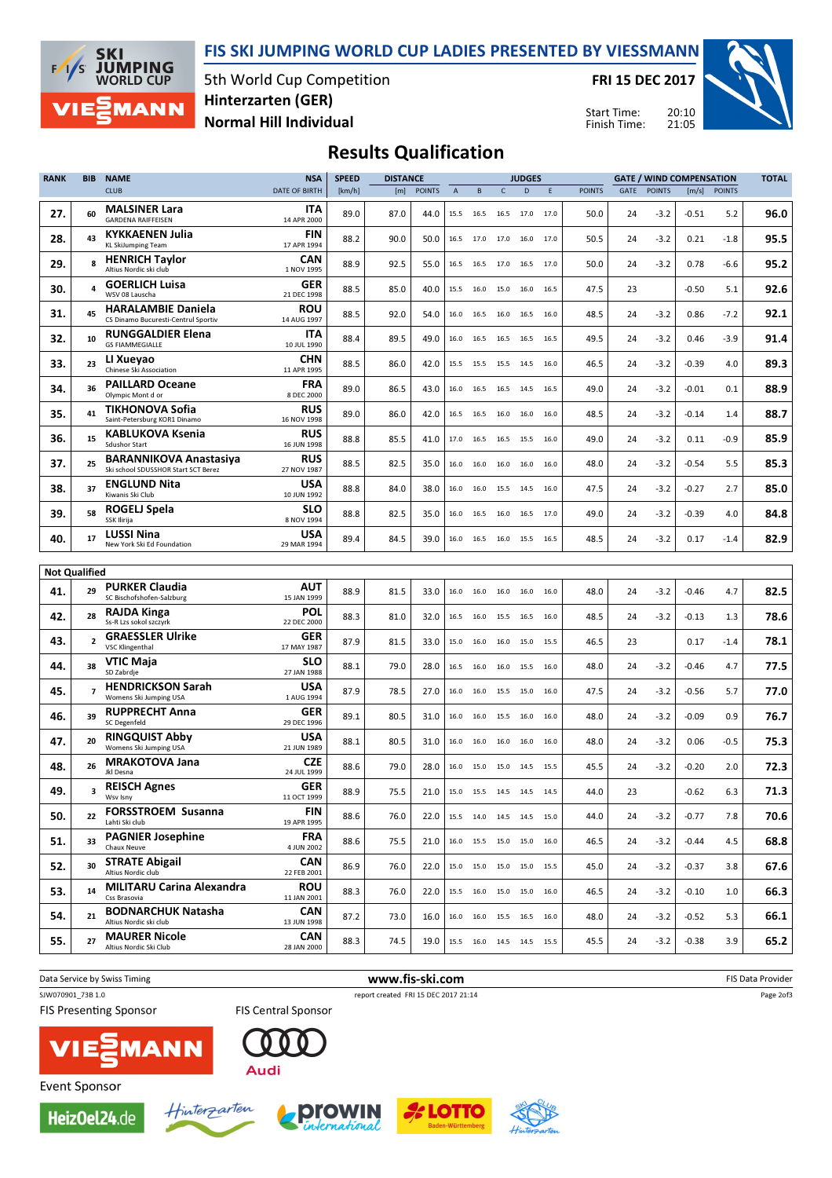FIS SKI JUMPING WORLD CUP LADIES PRESENTED BY VIESSMANN



5th World Cup Competition Normal Hill Individual Hinterzarten (GER)

FRI 15 DEC 2017

Start Time: Finish Time:



## Results Qualification

| <b>RANK</b> | <b>BIB</b>              | <b>NAME</b>                                                          | <b>NSA</b>                | <b>SPEED</b> | <b>DISTANCE</b> |               |                |                                  |              | <b>JUDGES</b>  |      |               |             | <b>GATE / WIND COMPENSATION</b> |         |               |      |
|-------------|-------------------------|----------------------------------------------------------------------|---------------------------|--------------|-----------------|---------------|----------------|----------------------------------|--------------|----------------|------|---------------|-------------|---------------------------------|---------|---------------|------|
|             |                         | <b>CLUB</b>                                                          | <b>DATE OF BIRTH</b>      | [km/h]       | [m]             | <b>POINTS</b> | $\overline{A}$ | B                                | $\mathsf{C}$ | D              | F    | <b>POINTS</b> | <b>GATE</b> | <b>POINTS</b>                   | [m/s]   | <b>POINTS</b> |      |
| 27.         | 60                      | <b>MALSINER Lara</b><br><b>GARDENA RAIFFEISEN</b>                    | ITA<br>14 APR 2000        | 89.0         | 87.0            | 44.0          | 15.5           | 16.5                             | 16.5 17.0    |                | 17.0 | 50.0          | 24          | $-3.2$                          | $-0.51$ | 5.2           | 96.0 |
| 28.         | 43                      | KYKKAENEN Julia<br><b>KL SkiJumping Team</b>                         | <b>FIN</b><br>17 APR 1994 | 88.2         | 90.0            | 50.0          | 16.5           | 17.0                             | 17.0         | 16.0           | 17.0 | 50.5          | 24          | $-3.2$                          | 0.21    | -1.8          | 95.5 |
| 29.         | 8                       | <b>HENRICH Taylor</b><br>Altius Nordic ski club                      | <b>CAN</b><br>1 NOV 1995  | 88.9         | 92.5            | 55.0          | 16.5           | 16.5                             | 17.0 16.5    |                | 17.0 | 50.0          | 24          | $-3.2$                          | 0.78    | -6.6          | 95.2 |
| 30.         | $\overline{a}$          | <b>GOERLICH Luisa</b><br>WSV 08 Lauscha                              | GER<br>21 DEC 1998        | 88.5         | 85.0            | 40.0          | 15.5           | 16.0                             | 15.0         | 16.0           | 16.5 | 47.5          | 23          |                                 | -0.50   | 5.1           | 92.6 |
| 31.         | 45                      | <b>HARALAMBIE Daniela</b><br>CS Dinamo Bucuresti-Centrul Sportiv     | <b>ROU</b><br>14 AUG 1997 | 88.5         | 92.0            | 54.0          | 16.0           | 16.5                             | 16.0 16.5    |                | 16.0 | 48.5          | 24          | -3.2                            | 0.86    | $-7.2$        | 92.1 |
| 32.         | 10                      | <b>RUNGGALDIER Elena</b><br><b>GS FIAMMEGIALLE</b>                   | <b>ITA</b><br>10 JUL 1990 | 88.4         | 89.5            | 49.0          | 16.0           | 16.5                             | 16.5         | 16.5           | 16.5 | 49.5          | 24          | $-3.2$                          | 0.46    | $-3.9$        | 91.4 |
| 33.         | 23                      | LI Xueyao<br>Chinese Ski Association                                 | <b>CHN</b><br>11 APR 1995 | 88.5         | 86.0            | 42.0          | 15.5           | 15.5                             | 15.5 14.5    |                | 16.0 | 46.5          | 24          | $-3.2$                          | $-0.39$ | 4.0           | 89.3 |
| 34.         | 36                      | <b>PAILLARD Oceane</b><br>Olympic Mont d or                          | <b>FRA</b><br>8 DEC 2000  | 89.0         | 86.5            | 43.0          | 16.0           | 16.5                             | 16.5         | 14.5           | 16.5 | 49.0          | 24          | $-3.2$                          | $-0.01$ | 0.1           | 88.9 |
| 35.         | 41                      | <b>TIKHONOVA Sofia</b><br>Saint-Petersburg KOR1 Dinamo               | RUS<br>16 NOV 1998        | 89.0         | 86.0            | 42.0          | 16.5           | 16.5                             | 16.0         | 16.0           | 16.0 | 48.5          | 24          | $-3.2$                          | $-0.14$ | 1.4           | 88.7 |
| 36.         | 15                      | <b>KABLUKOVA Ksenia</b><br><b>Sdushor Start</b>                      | <b>RUS</b><br>16 JUN 1998 | 88.8         | 85.5            | 41.0          | 17.0           | 16.5                             | 16.5         | 15.5           | 16.0 | 49.0          | 24          | $-3.2$                          | 0.11    | $-0.9$        | 85.9 |
| 37.         | 25                      | <b>BARANNIKOVA Anastasiya</b><br>Ski school SDUSSHOR Start SCT Berez | RUS<br>27 NOV 1987        | 88.5         | 82.5            | 35.0          | 16.0           | 16.0                             | 16.0         | 16.0           | 16.0 | 48.0          | 24          | $-3.2$                          | $-0.54$ | 5.5           | 85.3 |
| 38.         | 37                      | <b>ENGLUND Nita</b><br>Kiwanis Ski Club                              | USA<br>10 JUN 1992        | 88.8         | 84.0            | 38.0          | 16.0           | 16.0                             | 15.5         | 14.5           | 16.0 | 47.5          | 24          | $-3.2$                          | $-0.27$ | 2.7           | 85.0 |
| 39.         | 58                      | ROGELJ Spela<br>SSK Ilirija                                          | <b>SLO</b><br>8 NOV 1994  | 88.8         | 82.5            | 35.0          | 16.0           | 16.5                             | 16.0         | 16.5           | 17.0 | 49.0          | 24          | $-3.2$                          | $-0.39$ | 4.0           | 84.8 |
| 40.         | 17                      | <b>LUSSI Nina</b><br>New York Ski Ed Foundation                      | <b>USA</b><br>29 MAR 1994 | 89.4         | 84.5            | 39.0          | 16.0           | 16.5                             | 16.0         | 15.5           | 16.5 | 48.5          | 24          | $-3.2$                          | 0.17    | $-1.4$        | 82.9 |
|             | <b>Not Qualified</b>    |                                                                      |                           |              |                 |               |                |                                  |              |                |      |               |             |                                 |         |               |      |
| 41.         | 29                      | <b>PURKER Claudia</b><br>SC Bischofshofen-Salzburg                   | <b>AUT</b><br>15 JAN 1999 | 88.9         | 81.5            | 33.0          | 16.0           | 16.0                             | 16.0         | 16.0           | 16.0 | 48.0          | 24          | $-3.2$                          | $-0.46$ | 4.7           | 82.5 |
| 42.         | 28                      | RAJDA Kinga<br>Ss-R Lzs sokol szczyrk                                | POL<br>22 DEC 2000        | 88.3         | 81.0            | 32.0          | 16.5           | 16.0                             | 15.5 16.5    |                | 16.0 | 48.5          | 24          | $-3.2$                          | $-0.13$ | 1.3           | 78.6 |
| 43.         | $\overline{2}$          | <b>GRAESSLER Ulrike</b><br><b>VSC Klingenthal</b>                    | GER<br>17 MAY 1987        | 87.9         | 81.5            | 33.0          | 15.0           | 16.0                             | 16.0         | 15.0           | 15.5 | 46.5          | 23          |                                 | 0.17    | $-1.4$        | 78.1 |
| 44.         | 38                      | VTIC Maja<br>SD Zabrdje                                              | <b>SLO</b><br>27 JAN 1988 | 88.1         | 79.0            | 28.0          | 16.5           | 16.0                             | 16.0 15.5    |                | 16.0 | 48.0          | 24          | -3.2                            | $-0.46$ | 4.7           | 77.5 |
| 45.         | $\overline{7}$          | <b>HENDRICKSON Sarah</b><br>Womens Ski Jumping USA                   | <b>USA</b><br>1 AUG 1994  | 87.9         | 78.5            | 27.0          | 16.0           | 16.0                             | 15.5         | 15.0           | 16.0 | 47.5          | 24          | $-3.2$                          | $-0.56$ | 5.7           | 77.0 |
| 46.         | 39                      | <b>RUPPRECHT Anna</b><br><b>SC Degenfeld</b>                         | GER<br>29 DEC 1996        | 89.1         | 80.5            | 31.0          | 16.0           | 16.0                             | 15.5         | 16.0           | 16.0 | 48.0          | 24          | $-3.2$                          | $-0.09$ | 0.9           | 76.7 |
| 47.         | 20                      | <b>RINGQUIST Abby</b><br>Womens Ski Jumping USA                      | <b>USA</b><br>21 JUN 1989 | 88.1         | 80.5            | 31.0          | 16.0           | 16.0                             | 16.0         | 16.0           | 16.0 | 48.0          | 24          | $-3.2$                          | 0.06    | $-0.5$        | 75.3 |
| 48.         | 26                      | <b>MRAKOTOVA Jana</b><br>Jkl Desna                                   | CZE<br>24 JUL 1999        | 88.6         | 79.0            | 28.0          | 16.0           | 15.0                             | 15.0         | 14.5           | 15.5 | 45.5          | 24          | $-3.2$                          | $-0.20$ | 2.0           | 72.3 |
| 49.         | $\overline{\mathbf{3}}$ | <b>REISCH Agnes</b>                                                  | GER<br>11 OCT 1999        | 88.9         | 75.5            | 21.0          |                | 15.0 15.5                        |              | 14.5 14.5 14.5 |      | 44.0          | 23          |                                 | $-0.62$ | 6.3           | 71.3 |
| 50.         | 22                      | FORSSTROEM Susanna<br>Lahti Ski club                                 | <b>FIN</b><br>19 APR 1995 | 88.6         | 76.0            | 22.0          |                | 15.5 14.0 14.5 14.5 15.0         |              |                |      | 44.0          | 24          | $-3.2$                          | $-0.77$ | 7.8           | 70.6 |
| 51.         | 33                      | <b>PAGNIER Josephine</b><br>Chaux Neuve                              | <b>FRA</b><br>4 JUN 2002  | 88.6         | 75.5            | 21.0          |                | 16.0 15.5 15.0 15.0 16.0         |              |                |      | 46.5          | 24          | $-3.2$                          | $-0.44$ | 4.5           | 68.8 |
| 52.         | 30                      | <b>STRATE Abigail</b><br>Altius Nordic club                          | <b>CAN</b><br>22 FEB 2001 | 86.9         | 76.0            | 22.0          |                | 15.0 15.0 15.0 15.0 15.5         |              |                |      | 45.0          | 24          | $-3.2$                          | $-0.37$ | 3.8           | 67.6 |
| 53.         | 14                      | <b>MILITARU Carina Alexandra</b><br>Css Brasovia                     | <b>ROU</b><br>11 JAN 2001 | 88.3         | 76.0            | 22.0          |                | 15.5 16.0 15.0 15.0 16.0         |              |                |      | 46.5          | 24          | $-3.2$                          | $-0.10$ | 1.0           | 66.3 |
| 54.         | 21                      | <b>BODNARCHUK Natasha</b><br>Altius Nordic ski club                  | <b>CAN</b><br>13 JUN 1998 | 87.2         | 73.0            | 16.0          |                | 16.0 16.0 15.5 16.5 16.0         |              |                |      | 48.0          | 24          | $-3.2$                          | $-0.52$ | 5.3           | 66.1 |
| 55.         | 27                      | <b>MAURER Nicole</b><br>Altius Nordic Ski Club                       | <b>CAN</b><br>28 JAN 2000 | 88.3         | 74.5            | 19.0          |                | 15.5   16.0   14.5   14.5   15.5 |              |                |      | 45.5          | 24          | $-3.2$                          | $-0.38$ | 3.9           | 65.2 |

SJW070901\_73B 1.0 report created FRI 15 DEC 2017 21:14

Data Service by Swiss Timing **EXECUTE CONCOMPTED WWW.fis-ski.com** FIS Data Provider

**FIS Presenting Sponsor** 





**FIS Central Sponsor** 



**Event Sponsor**